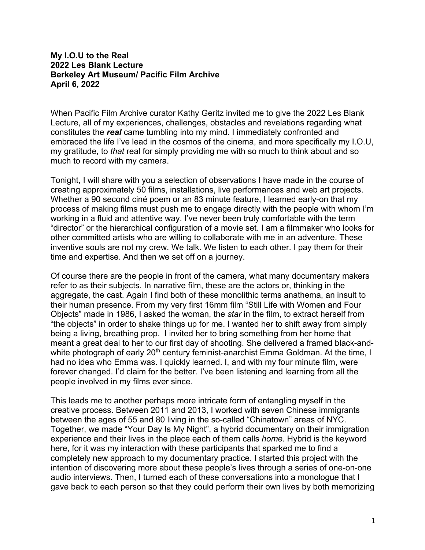## **My I.O.U to the Real 2022 Les Blank Lecture Berkeley Art Museum/ Pacific Film Archive April 6, 2022**

When Pacific Film Archive curator Kathy Geritz invited me to give the 2022 Les Blank Lecture, all of my experiences, challenges, obstacles and revelations regarding what constitutes the *real* came tumbling into my mind. I immediately confronted and embraced the life I've lead in the cosmos of the cinema, and more specifically my I.O.U, my gratitude, to *that* real for simply providing me with so much to think about and so much to record with my camera.

Tonight, I will share with you a selection of observations I have made in the course of creating approximately 50 films, installations, live performances and web art projects. Whether a 90 second ciné poem or an 83 minute feature, I learned early-on that my process of making films must push me to engage directly with the people with whom I'm working in a fluid and attentive way. I've never been truly comfortable with the term "director" or the hierarchical configuration of a movie set. I am a filmmaker who looks for other committed artists who are willing to collaborate with me in an adventure. These inventive souls are not my crew. We talk. We listen to each other. I pay them for their time and expertise. And then we set off on a journey.

Of course there are the people in front of the camera, what many documentary makers refer to as their subjects. In narrative film, these are the actors or, thinking in the aggregate, the cast. Again I find both of these monolithic terms anathema, an insult to their human presence. From my very first 16mm film "Still Life with Women and Four Objects" made in 1986, I asked the woman, the *star* in the film, to extract herself from "the objects" in order to shake things up for me. I wanted her to shift away from simply being a living, breathing prop. I invited her to bring something from her home that meant a great deal to her to our first day of shooting. She delivered a framed black-andwhite photograph of early 20<sup>th</sup> century feminist-anarchist Emma Goldman. At the time, I had no idea who Emma was. I quickly learned. I, and with my four minute film, were forever changed. I'd claim for the better. I've been listening and learning from all the people involved in my films ever since.

This leads me to another perhaps more intricate form of entangling myself in the creative process. Between 2011 and 2013, I worked with seven Chinese immigrants between the ages of 55 and 80 living in the so-called "Chinatown" areas of NYC. Together, we made "Your Day Is My Night", a hybrid documentary on their immigration experience and their lives in the place each of them calls *home*. Hybrid is the keyword here, for it was my interaction with these participants that sparked me to find a completely new approach to my documentary practice. I started this project with the intention of discovering more about these people's lives through a series of one-on-one audio interviews. Then, I turned each of these conversations into a monologue that I gave back to each person so that they could perform their own lives by both memorizing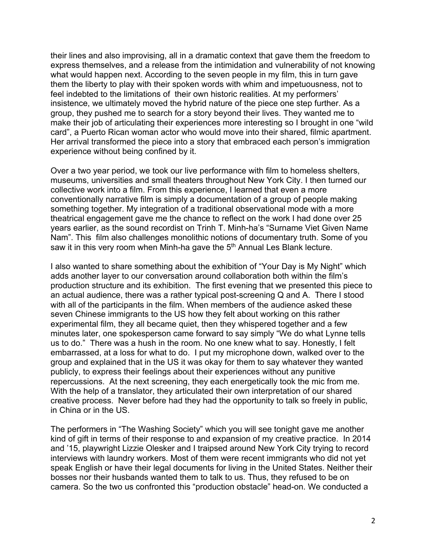their lines and also improvising, all in a dramatic context that gave them the freedom to express themselves, and a release from the intimidation and vulnerability of not knowing what would happen next. According to the seven people in my film, this in turn gave them the liberty to play with their spoken words with whim and impetuousness, not to feel indebted to the limitations of their own historic realities. At my performers' insistence, we ultimately moved the hybrid nature of the piece one step further. As a group, they pushed me to search for a story beyond their lives. They wanted me to make their job of articulating their experiences more interesting so I brought in one "wild card", a Puerto Rican woman actor who would move into their shared, filmic apartment. Her arrival transformed the piece into a story that embraced each person's immigration experience without being confined by it.

Over a two year period, we took our live performance with film to homeless shelters, museums, universities and small theaters throughout New York City. I then turned our collective work into a film. From this experience, I learned that even a more conventionally narrative film is simply a documentation of a group of people making something together. My integration of a traditional observational mode with a more theatrical engagement gave me the chance to reflect on the work I had done over 25 years earlier, as the sound recordist on Trinh T. Minh-ha's "Surname Viet Given Name Nam". This film also challenges monolithic notions of documentary truth. Some of you saw it in this very room when Minh-ha gave the 5<sup>th</sup> Annual Les Blank lecture.

I also wanted to share something about the exhibition of "Your Day is My Night" which adds another layer to our conversation around collaboration both within the film's production structure and its exhibition. The first evening that we presented this piece to an actual audience, there was a rather typical post-screening Q and A. There I stood with all of the participants in the film. When members of the audience asked these seven Chinese immigrants to the US how they felt about working on this rather experimental film, they all became quiet, then they whispered together and a few minutes later, one spokesperson came forward to say simply "We do what Lynne tells us to do." There was a hush in the room. No one knew what to say. Honestly, I felt embarrassed, at a loss for what to do. I put my microphone down, walked over to the group and explained that in the US it was okay for them to say whatever they wanted publicly, to express their feelings about their experiences without any punitive repercussions. At the next screening, they each energetically took the mic from me. With the help of a translator, they articulated their own interpretation of our shared creative process. Never before had they had the opportunity to talk so freely in public, in China or in the US.

The performers in "The Washing Society" which you will see tonight gave me another kind of gift in terms of their response to and expansion of my creative practice. In 2014 and '15, playwright Lizzie Olesker and I traipsed around New York City trying to record interviews with laundry workers. Most of them were recent immigrants who did not yet speak English or have their legal documents for living in the United States. Neither their bosses nor their husbands wanted them to talk to us. Thus, they refused to be on camera. So the two us confronted this "production obstacle" head-on. We conducted a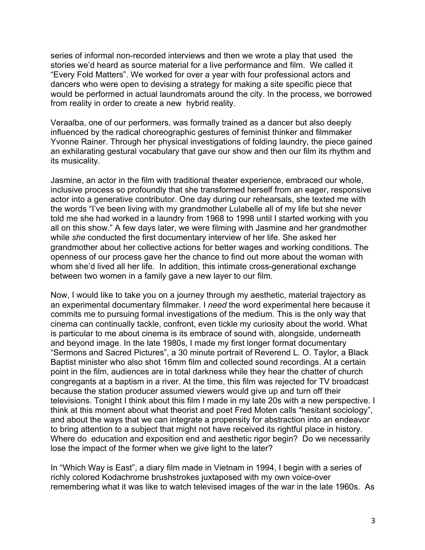series of informal non-recorded interviews and then we wrote a play that used the stories we'd heard as source material for a live performance and film. We called it "Every Fold Matters". We worked for over a year with four professional actors and dancers who were open to devising a strategy for making a site specific piece that would be performed in actual laundromats around the city. In the process, we borrowed from reality in order to create a new hybrid reality.

Veraalba, one of our performers, was formally trained as a dancer but also deeply influenced by the radical choreographic gestures of feminist thinker and filmmaker Yvonne Rainer. Through her physical investigations of folding laundry, the piece gained an exhilarating gestural vocabulary that gave our show and then our film its rhythm and its musicality.

Jasmine, an actor in the film with traditional theater experience, embraced our whole, inclusive process so profoundly that she transformed herself from an eager, responsive actor into a generative contributor. One day during our rehearsals, she texted me with the words "I've been living with my grandmother Lulabelle all of my life but she never told me she had worked in a laundry from 1968 to 1998 until I started working with you all on this show." A few days later, we were filming with Jasmine and her grandmother while *she* conducted the first documentary interview of her life. She asked her grandmother about her collective actions for better wages and working conditions. The openness of our process gave her the chance to find out more about the woman with whom she'd lived all her life. In addition, this intimate cross-generational exchange between two women in a family gave a new layer to our film.

Now, I would like to take you on a journey through my aesthetic, material trajectory as an experimental documentary filmmaker. I *need* the word experimental here because it commits me to pursuing formal investigations of the medium. This is the only way that cinema can continually tackle, confront, even tickle my curiosity about the world. What is particular to me about cinema is its embrace of sound with, alongside, underneath and beyond image. In the late 1980s, I made my first longer format documentary "Sermons and Sacred Pictures", a 30 minute portrait of Reverend L. O. Taylor, a Black Baptist minister who also shot 16mm film and collected sound recordings. At a certain point in the film, audiences are in total darkness while they hear the chatter of church congregants at a baptism in a river. At the time, this film was rejected for TV broadcast because the station producer assumed viewers would give up and turn off their televisions. Tonight I think about this film I made in my late 20s with a new perspective. I think at this moment about what theorist and poet Fred Moten calls "hesitant sociology", and about the ways that we can integrate a propensity for abstraction into an endeavor to bring attention to a subject that might not have received its rightful place in history. Where do education and exposition end and aesthetic rigor begin? Do we necessarily lose the impact of the former when we give light to the later?

In "Which Way is East", a diary film made in Vietnam in 1994, I begin with a series of richly colored Kodachrome brushstrokes juxtaposed with my own voice-over remembering what it was like to watch televised images of the war in the late 1960s. As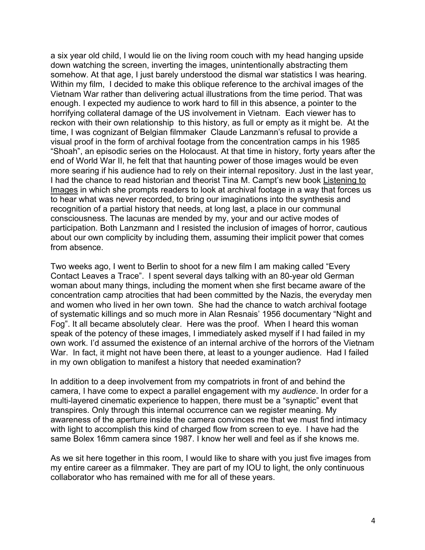a six year old child, I would lie on the living room couch with my head hanging upside down watching the screen, inverting the images, unintentionally abstracting them somehow. At that age, I just barely understood the dismal war statistics I was hearing. Within my film, I decided to make this oblique reference to the archival images of the Vietnam War rather than delivering actual illustrations from the time period. That was enough. I expected my audience to work hard to fill in this absence, a pointer to the horrifying collateral damage of the US involvement in Vietnam. Each viewer has to reckon with their own relationship to this history, as full or empty as it might be. At the time, I was cognizant of Belgian filmmaker Claude Lanzmann's refusal to provide a visual proof in the form of archival footage from the concentration camps in his 1985 "Shoah", an episodic series on the Holocaust. At that time in history, forty years after the end of World War II, he felt that that haunting power of those images would be even more searing if his audience had to rely on their internal repository. Just in the last year, I had the chance to read historian and theorist Tina M. Campt's new book Listening to Images in which she prompts readers to look at archival footage in a way that forces us to hear what was never recorded, to bring our imaginations into the synthesis and recognition of a partial history that needs, at long last, a place in our communal consciousness. The lacunas are mended by my, your and our active modes of participation. Both Lanzmann and I resisted the inclusion of images of horror, cautious about our own complicity by including them, assuming their implicit power that comes from absence.

Two weeks ago, I went to Berlin to shoot for a new film I am making called "Every Contact Leaves a Trace". I spent several days talking with an 80-year old German woman about many things, including the moment when she first became aware of the concentration camp atrocities that had been committed by the Nazis, the everyday men and women who lived in her own town. She had the chance to watch archival footage of systematic killings and so much more in Alan Resnais' 1956 documentary "Night and Fog". It all became absolutely clear. Here was the proof. When I heard this woman speak of the potency of these images, I immediately asked myself if I had failed in my own work. I'd assumed the existence of an internal archive of the horrors of the Vietnam War. In fact, it might not have been there, at least to a younger audience. Had I failed in my own obligation to manifest a history that needed examination?

In addition to a deep involvement from my compatriots in front of and behind the camera, I have come to expect a parallel engagement with my *audience*. In order for a multi-layered cinematic experience to happen, there must be a "synaptic" event that transpires. Only through this internal occurrence can we register meaning. My awareness of the aperture inside the camera convinces me that we must find intimacy with light to accomplish this kind of charged flow from screen to eye. I have had the same Bolex 16mm camera since 1987. I know her well and feel as if she knows me.

As we sit here together in this room, I would like to share with you just five images from my entire career as a filmmaker. They are part of my IOU to light, the only continuous collaborator who has remained with me for all of these years.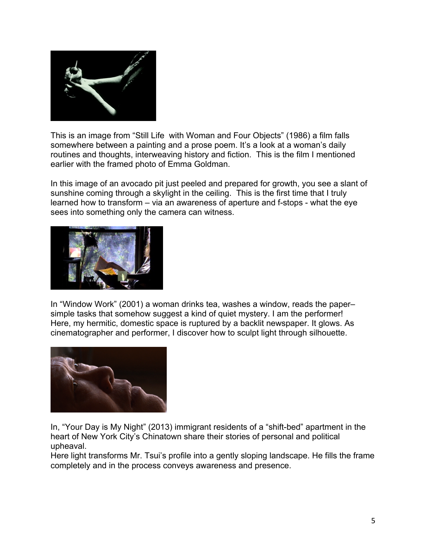

This is an image from "Still Life with Woman and Four Objects" (1986) a film falls somewhere between a painting and a prose poem. It's a look at a woman's daily routines and thoughts, interweaving history and fiction. This is the film I mentioned earlier with the framed photo of Emma Goldman.

In this image of an avocado pit just peeled and prepared for growth, you see a slant of sunshine coming through a skylight in the ceiling. This is the first time that I truly learned how to transform – via an awareness of aperture and f-stops - what the eye sees into something only the camera can witness.



In "Window Work" (2001) a woman drinks tea, washes a window, reads the paper– simple tasks that somehow suggest a kind of quiet mystery. I am the performer! Here, my hermitic, domestic space is ruptured by a backlit newspaper. It glows. As cinematographer and performer, I discover how to sculpt light through silhouette.



In, "Your Day is My Night" (2013) immigrant residents of a "shift-bed" apartment in the heart of New York City's Chinatown share their stories of personal and political upheaval.

Here light transforms Mr. Tsui's profile into a gently sloping landscape. He fills the frame completely and in the process conveys awareness and presence.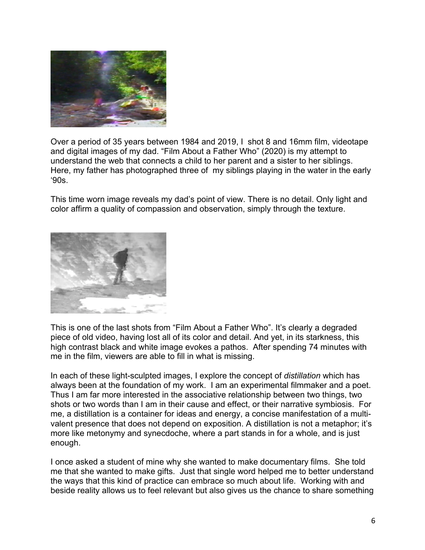

Over a period of 35 years between 1984 and 2019, I shot 8 and 16mm film, videotape and digital images of my dad. "Film About a Father Who" (2020) is my attempt to understand the web that connects a child to her parent and a sister to her siblings. Here, my father has photographed three of my siblings playing in the water in the early '90s.

This time worn image reveals my dad's point of view. There is no detail. Only light and color affirm a quality of compassion and observation, simply through the texture.



This is one of the last shots from "Film About a Father Who". It's clearly a degraded piece of old video, having lost all of its color and detail. And yet, in its starkness, this high contrast black and white image evokes a pathos. After spending 74 minutes with me in the film, viewers are able to fill in what is missing.

In each of these light-sculpted images, I explore the concept of *distillation* which has always been at the foundation of my work. I am an experimental filmmaker and a poet. Thus I am far more interested in the associative relationship between two things, two shots or two words than I am in their cause and effect, or their narrative symbiosis. For me, a distillation is a container for ideas and energy, a concise manifestation of a multivalent presence that does not depend on exposition. A distillation is not a metaphor; it's more like metonymy and synecdoche, where a part stands in for a whole, and is just enough.

I once asked a student of mine why she wanted to make documentary films. She told me that she wanted to make gifts. Just that single word helped me to better understand the ways that this kind of practice can embrace so much about life. Working with and beside reality allows us to feel relevant but also gives us the chance to share something